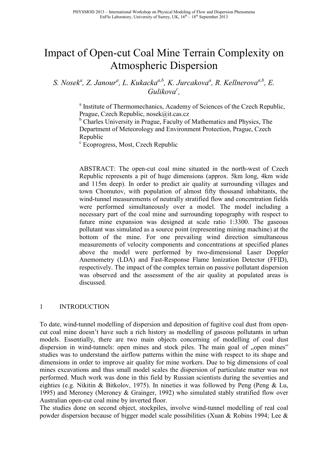# Impact of Open-cut Coal Mine Terrain Complexity on Atmospheric Dispersion

*S. Nosek<sup>a</sup> , Z. Janour<sup>a</sup> , L. Kukackaa,b, K. Jurcakova<sup>a</sup> , R. Kellnerovaa,b, E. Gulikova<sup>c</sup> ,* 

> <sup>a</sup> Institute of Thermomechanics, Academy of Sciences of the Czech Republic, Prague, Czech Republic, nosek@it.cas.cz

<sup>b</sup> Charles University in Prague, Faculty of Mathematics and Physics, The Department of Meteorology and Environment Protection, Prague, Czech Republic

c Ecoprogress, Most, Czech Republic

ABSTRACT: The open-cut coal mine situated in the north-west of Czech Republic represents a pit of huge dimensions (approx. 5km long, 4km wide and 115m deep). In order to predict air quality at surrounding villages and town Chomutov, with population of almost fifty thousand inhabitants, the wind-tunnel measurements of neutrally stratified flow and concentration fields were performed simultaneously over a model. The model including a necessary part of the coal mine and surrounding topography with respect to future mine expansion was designed at scale ratio 1:3300. The gaseous pollutant was simulated as a source point (representing mining machine) at the bottom of the mine. For one prevailing wind direction simultaneous measurements of velocity components and concentrations at specified planes above the model were performed by two-dimensional Laser Doppler Anemometry (LDA) and Fast-Response Flame Ionization Detector (FFID), respectively. The impact of the complex terrain on passive pollutant dispersion was observed and the assessment of the air quality at populated areas is discussed.

# 1 INTRODUCTION

To date, wind-tunnel modelling of dispersion and deposition of fugitive coal dust from opencut coal mine doesn't have such a rich history as modelling of gaseous pollutants in urban models. Essentially, there are two main objects concerning of modelling of coal dust dispersion in wind-tunnels: open mines and stock piles. The main goal of "open mines" studies was to understand the airflow patterns within the mine with respect to its shape and dimensions in order to improve air quality for mine workers. Due to big dimensions of coal mines excavations and thus small model scales the dispersion of particulate matter was not performed. Much work was done in this field by Russian scientists during the seventies and eighties (e.g. Nikitin & Bitkolov, 1975). In nineties it was followed by Peng (Peng & Lu, 1995) and Meroney (Meroney & Grainger, 1992) who simulated stably stratified flow over Australian open-cut coal mine by inverted floor.

The studies done on second object, stockpiles, involve wind-tunnel modelling of real coal powder dispersion because of bigger model scale possibilities (Xuan & Robins 1994; Lee &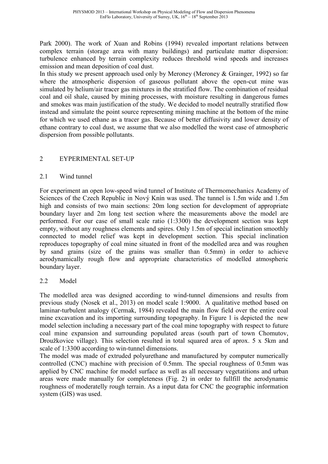Park 2000). The work of Xuan and Robins (1994) revealed important relations between complex terrain (storage area with many buildings) and particulate matter dispersion: turbulence enhanced by terrain complexity reduces threshold wind speeds and increases emission and mean deposition of coal dust.

In this study we present approach used only by Meroney (Meroney & Grainger, 1992) so far where the atmospheric dispersion of gaseous pollutant above the open-cut mine was simulated by helium/air tracer gas mixtures in the stratified flow. The combination of residual coal and oil shale, caused by mining processes, with moisture resulting in dangerous fumes and smokes was main justification of the study. We decided to model neutrally stratified flow instead and simulate the point source representing mining machine at the bottom of the mine for which we used ethane as a tracer gas. Because of better diffusivity and lower density of ethane contrary to coal dust, we assume that we also modelled the worst case of atmospheric dispersion from possible pollutants.

# 2 EYPERIMENTAL SET-UP

# 2.1 Wind tunnel

For experiment an open low-speed wind tunnel of Institute of Thermomechanics Academy of Sciences of the Czech Republic in Nový Knín was used. The tunnel is 1.5m wide and 1.5m high and consists of two main sections: 20m long section for development of appropriate boundary layer and 2m long test section where the measurements above the model are performed. For our case of small scale ratio (1:3300) the development section was kept empty, without any roughness elements and spires. Only 1.5m of special inclination smoothly connected to model relief was kept in development section. This special inclination reproduces topography of coal mine situated in front of the modelled area and was roughen by sand grains (size of the grains was smaller than 0.5mm) in order to achieve aerodynamically rough flow and appropriate characteristics of modelled atmospheric boundary layer.

# 2.2 Model

The modelled area was designed according to wind-tunnel dimensions and results from previous study (Nosek et al., 2013) on model scale 1:9000. A qualitative method based on laminar-turbulent analogy (Cermak, 1984) revealed the main flow field over the entire coal mine excavation and its importing surrounding topography. In Figure 1 is depicted the new model selection including a necessary part of the coal mine topography with respect to future coal mine expansion and surrounding populated areas (south part of town Chomutov, Droužkovice village). This selection resulted in total squared area of aprox. 5 x 5km and scale of 1:3300 according to win-tunnel dimensions.

The model was made of extruded polyurethane and manufactured by computer numerically controlled (CNC) machine with precision of 0.5mm. The special roughness of 0.5mm was applied by CNC machine for model surface as well as all necessary vegetatitions and urban areas were made manually for completeness (Fig. 2) in order to fullfill the aerodynamic roughness of moderatelly rough terrain. As a input data for CNC the geographic information system (GIS) was used.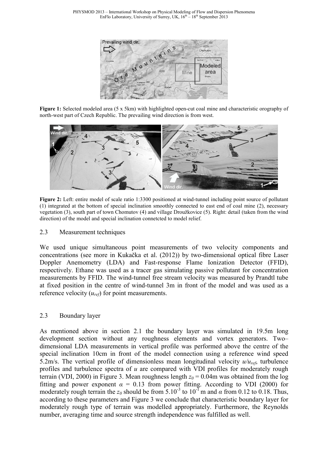

**Figure 1:** Selected modeled area (5 x 5km) with highlighted open-cut coal mine and characteristic orography of north-west part of Czech Republic. The prevailing wind direction is from west.



**Figure 2:** Left: entire model of scale ratio 1:3300 positioned at wind-tunnel including point source of pollutant (1) integrated at the bottom of special inclination smoothly connected to east end of coal mine (2), necessary vegetation (3), south part of town Chomutov (4) and village Droužkovice (5). Right: detail (taken from the wind direction) of the model and special inclination connetcted to model relief.

# 2.3 Measurement techniques

We used unique simultaneous point measurements of two velocity components and concentrations (see more in Kukačka et al. (2012)) by two-dimensional optical fibre Laser Doppler Anemometry (LDA) and Fast-response Flame Ionization Detector (FFID), respectively. Ethane was used as a tracer gas simulating passive pollutant for concentration measurements by FFID. The wind-tunnel free stream velocity was measured by Prandtl tube at fixed position in the centre of wind-tunnel 3m in front of the model and was used as a reference velocity (*uref*) for point measurements.

# 2.3 Boundary layer

As mentioned above in section 2.1 the boundary layer was simulated in 19.5m long development section without any roughness elements and vortex generators. Two– dimensional LDA measurements in vertical profile was performed above the centre of the special inclination 10cm in front of the model connection using a reference wind speed 5.2m/s. The vertical profile of dimensionless mean longitudinal velocity *u/uref*, turbulence profiles and turbulence spectra of *u* are compared with VDI profiles for moderately rough terrain (VDI, 2000) in Figure 3. Mean roughness length  $z_0 = 0.04$ m was obtained from the log fitting and power exponent  $\alpha = 0.13$  from power fitting. According to VDI (2000) for moderately rough terrain the  $z_0$  should be from 5.10<sup>-3</sup> to 10<sup>-1</sup> m and  $\alpha$  from 0.12 to 0.18. Thus, according to these parameters and Figure 3 we conclude that characteristic boundary layer for moderately rough type of terrain was modelled appropriately. Furthermore, the Reynolds number, averaging time and source strength independence was fulfilled as well.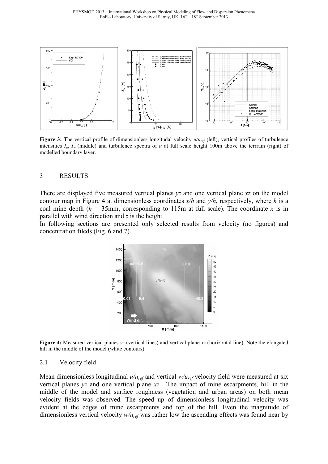

**Figure 3:** The vertical profile of dimensionless longitudal velocity  $u/u_{ref}$  (left), vertical profiles of turbulence intensities  $I_u$ ,  $I_w$  (middle) and turbulence spectra of *u* at full scale height 100m above the terrrain (right) of modelled boundary layer.

#### 3 RESULTS

There are displayed five measured vertical planes *yz* and one vertical plane *xz* on the model contour map in Figure 4 at dimensionless coordinates *x/h* and *y/h*, respectively, where *h* is a coal mine depth ( $h = 35$ mm, corresponding to 115m at full scale). The coordinate *x* is in parallel with wind direction and *z* is the height.

In following sections are presented only selected results from velocity (no figures) and concentration fileds (Fig. 6 and 7).



**Figure 4:** Measured vertical planes *yz* (vertical lines) and vertical plane *xz* (horizontal line). Note the elongated hill in the middle of the model (white contours).

#### 2.1 Velocity field

Mean dimensionless longitudinal  $u/u_{ref}$  and vertical  $w/u_{ref}$  velocity field were measured at six vertical planes *yz* and one vertical plane *xz*. The impact of mine escarpments, hill in the middle of the model and surface roughness (vegetation and urban areas) on both mean velocity fields was observed. The speed up of dimensionless longitudinal velocity was evident at the edges of mine escarpments and top of the hill. Even the magnitude of dimensionless vertical velocity *w/uref* was rather low the ascending effects was found near by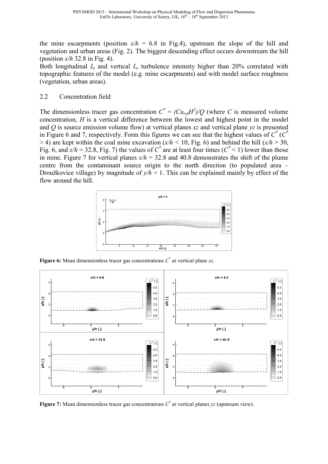the mine escarpments (position  $x/h = 6.8$  in Fig.4), upstream the slope of the hill and vegetation and urban areas (Fig. 2). The biggest descending effect occurs downstream the hill (position *x/h* 32.8 in Fig. 4).

Both longitudinal  $I_u$  and vertical  $I_w$  turbulence intensity higher than 20% correlated with topographic features of the model (e.g. mine escarpments) and with model surface roughness (vegetation, urban areas).

# 2.2 Concentration field

The dimensionless tracer gas concentration  $C^* = (Cu_{ref}H^2)/Q$  (where *C* is measured volume concentration, *H* is a vertical difference between the lowest and highest point in the model and *Q* is source emission volume flow) at vertical planes *xz* and vertical plane *yz* is presented in Figure 6 and 7, respectively. Form this figures we can see that the highest values of  $C^*$  ( $C^*$  $>$  4) are kept within the coal mine excavation ( $x/h$  < 10, Fig. 6) and behind the hill ( $x/h$   $>$  30, Fig. 6, and  $x/h = 32.8$ , Fig. 7) the values of  $C^*$  are at least four times ( $C^*$  < 1) lower than those in mine. Figure 7 for vertical planes  $x/h = 32.8$  and 40.8 demonstrates the shift of the plume centre from the contaminant source origin to the north direction (to populated area – Droužkovice village) by magnitude of  $y/h = 1$ . This can be explained mainly by effect of the flow around the hill.



**Figure 6:** Mean dimensionless tracer gas concentrations  $C^*$  at vertical plane  $xz$ .



**Figure 7:** Mean dimensionless tracer gas concentrations  $C^*$  at vertical planes  $yz$  (upstream view).